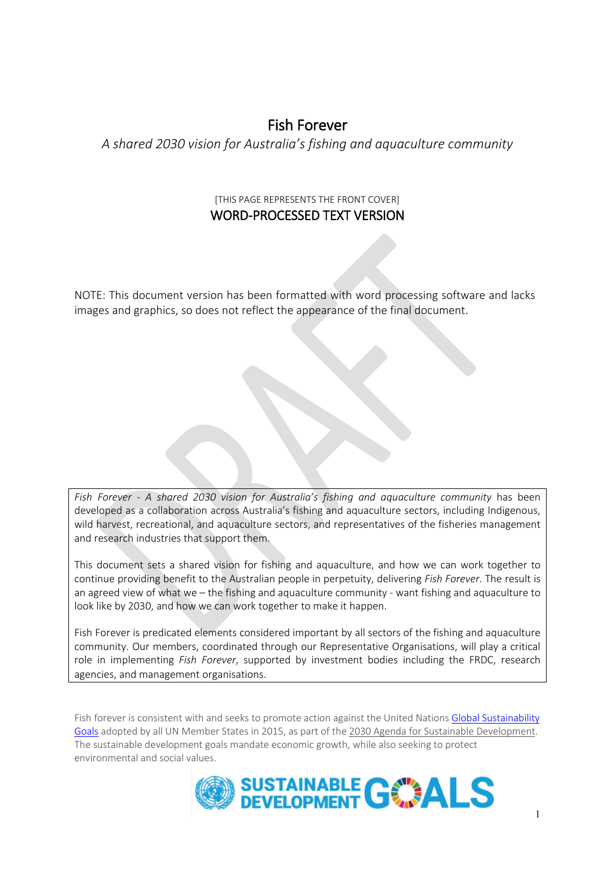# Fish Forever

*A shared 2030 vision for Australia's fishing and aquaculture community*

### [THIS PAGE REPRESENTS THE FRONT COVER] WORD-PROCESSED TEXT VERSION

NOTE: This document version has been formatted with word processing software and lacks images and graphics, so does not reflect the appearance of the final document.

*Fish Forever - A shared 2030 vision for Australia's fishing and aquaculture community* has been developed as a collaboration across Australia's fishing and aquaculture sectors, including Indigenous, wild harvest, recreational, and aquaculture sectors, and representatives of the fisheries management and research industries that support them.

This document sets a shared vision for fishing and aquaculture, and how we can work together to continue providing benefit to the Australian people in perpetuity, delivering *Fish Forever*. The result is an agreed view of what we – the fishing and aquaculture community - want fishing and aquaculture to look like by 2030, and how we can work together to make it happen.

Fish Forever is predicated elements considered important by all sectors of the fishing and aquaculture community. Our members, coordinated through our Representative Organisations, will play a critical role in implementing *Fish Forever*, supported by investment bodies including the FRDC, research agencies, and management organisations.

Fish forever is consistent with and seeks to promote action against the United Nations [Global Sustainability](https://www.un.org/sustainabledevelopment/development-agenda/)  [Goals](https://www.un.org/sustainabledevelopment/development-agenda/) adopted by all UN Member States in 2015, as part of the [2030 Agenda for Sustainable Development.](http://www.un.org/ga/search/view_doc.asp?symbol=A/RES/70/1&Lang=E) The sustainable development goals mandate economic growth, while also seeking to protect environmental and social values.

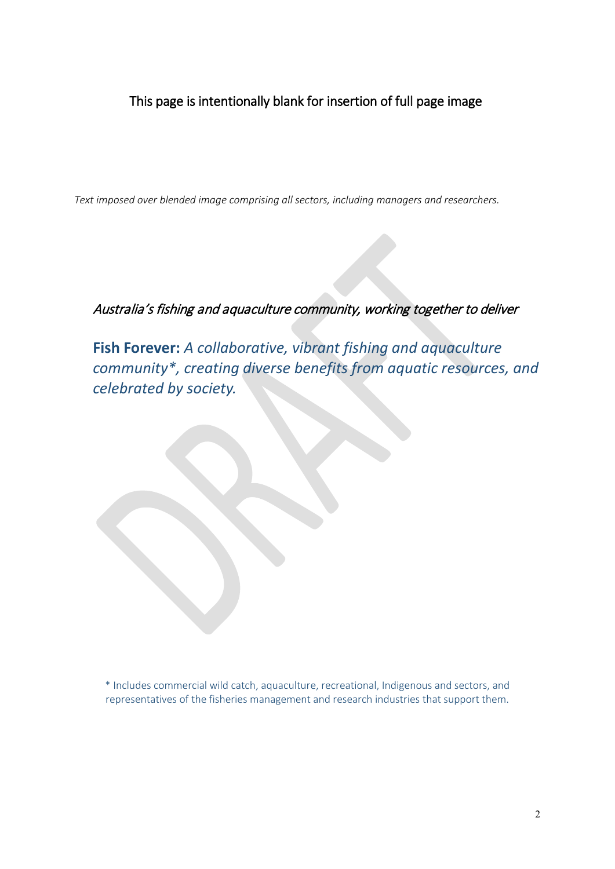## This page is intentionally blank for insertion of full page image

*Text imposed over blended image comprising all sectors, including managers and researchers.*

## Australia's fishing and aquaculture community, working together to deliver

**Fish Forever:** *A collaborative, vibrant fishing and aquaculture community\*, creating diverse benefits from aquatic resources, and celebrated by society.*

\* Includes commercial wild catch, aquaculture, recreational, Indigenous and sectors, and representatives of the fisheries management and research industries that support them.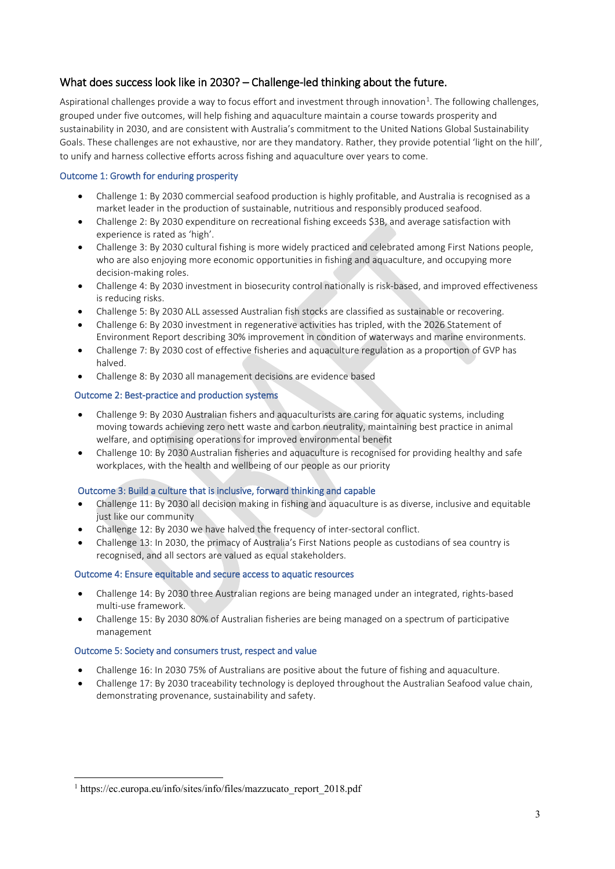### What does success look like in 2030? – Challenge-led thinking about the future.

Aspirational challenges provide a way to focus effort and investment through innovation<sup>[1](#page-2-0)</sup>. The following challenges, grouped under five outcomes, will help fishing and aquaculture maintain a course towards prosperity and sustainability in 2030, and are consistent with Australia's commitment to the United Nations Global Sustainability Goals. These challenges are not exhaustive, nor are they mandatory. Rather, they provide potential 'light on the hill', to unify and harness collective efforts across fishing and aquaculture over years to come.

#### Outcome 1: Growth for enduring prosperity

- Challenge 1: By 2030 commercial seafood production is highly profitable, and Australia is recognised as a market leader in the production of sustainable, nutritious and responsibly produced seafood.
- Challenge 2: By 2030 expenditure on recreational fishing exceeds \$3B, and average satisfaction with experience is rated as 'high'.
- Challenge 3: By 2030 cultural fishing is more widely practiced and celebrated among First Nations people, who are also enjoying more economic opportunities in fishing and aquaculture, and occupying more decision-making roles.
- Challenge 4: By 2030 investment in biosecurity control nationally is risk-based, and improved effectiveness is reducing risks.
- Challenge 5: By 2030 ALL assessed Australian fish stocks are classified as sustainable or recovering.
- Challenge 6: By 2030 investment in regenerative activities has tripled, with the 2026 Statement of Environment Report describing 30% improvement in condition of waterways and marine environments.
- Challenge 7: By 2030 cost of effective fisheries and aquaculture regulation as a proportion of GVP has halved.
- Challenge 8: By 2030 all management decisions are evidence based

#### Outcome 2: Best-practice and production systems

- Challenge 9: By 2030 Australian fishers and aquaculturists are caring for aquatic systems, including moving towards achieving zero nett waste and carbon neutrality, maintaining best practice in animal welfare, and optimising operations for improved environmental benefit
- Challenge 10: By 2030 Australian fisheries and aquaculture is recognised for providing healthy and safe workplaces, with the health and wellbeing of our people as our priority

#### Outcome 3: Build a culture that is inclusive, forward thinking and capable

- Challenge 11: By 2030 all decision making in fishing and aquaculture is as diverse, inclusive and equitable just like our community
- Challenge 12: By 2030 we have halved the frequency of inter-sectoral conflict.
- Challenge 13: In 2030, the primacy of Australia's First Nations people as custodians of sea country is recognised, and all sectors are valued as equal stakeholders.

#### Outcome 4: Ensure equitable and secure access to aquatic resources

- Challenge 14: By 2030 three Australian regions are being managed under an integrated, rights-based multi-use framework.
- Challenge 15: By 2030 80% of Australian fisheries are being managed on a spectrum of participative management

#### Outcome 5: Society and consumers trust, respect and value

- Challenge 16: In 2030 75% of Australians are positive about the future of fishing and aquaculture.
- Challenge 17: By 2030 traceability technology is deployed throughout the Australian Seafood value chain, demonstrating provenance, sustainability and safety.

<span id="page-2-0"></span><sup>&</sup>lt;sup>1</sup> https://ec.europa.eu/info/sites/info/files/mazzucato\_report\_2018.pdf